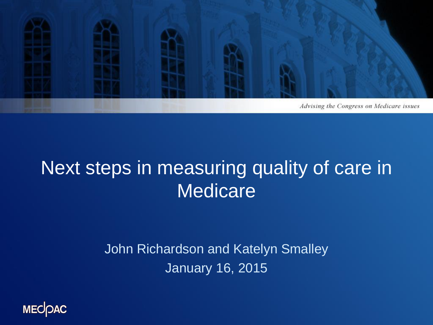

#### Next steps in measuring quality of care in **Medicare**

John Richardson and Katelyn Smalley January 16, 2015

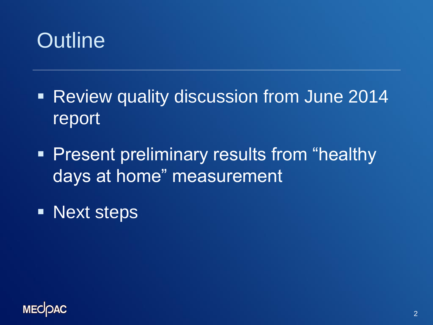

- **Review quality discussion from June 2014** report
- **Present preliminary results from "healthy** days at home" measurement
- **Next steps**

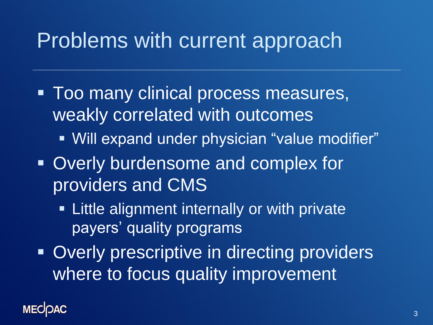### Problems with current approach

- **Too many clinical process measures,** weakly correlated with outcomes
	- Will expand under physician "value modifier"
- Overly burdensome and complex for providers and CMS
	- **Example 2 I** Little alignment internally or with private payers' quality programs
- **Overly prescriptive in directing providers** where to focus quality improvement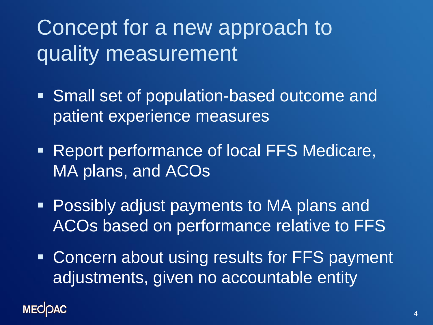# Concept for a new approach to quality measurement

- **Small set of population-based outcome and** patient experience measures
- **Report performance of local FFS Medicare,** MA plans, and ACOs
- **Possibly adjust payments to MA plans and** ACOs based on performance relative to FFS
- **Concern about using results for FFS payment** adjustments, given no accountable entity

**MECOAC**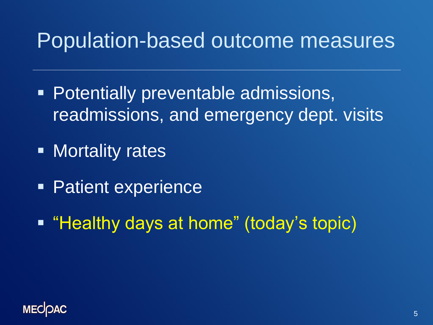#### Population-based outcome measures

- Potentially preventable admissions, readmissions, and emergency dept. visits
- **Mortality rates**
- **Patient experience**
- "Healthy days at home" (today's topic)

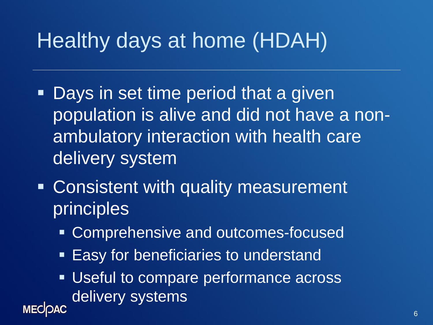# Healthy days at home (HDAH)

- Days in set time period that a given population is alive and did not have a nonambulatory interaction with health care delivery system
- Consistent with quality measurement principles
	- **EX Comprehensive and outcomes-focused**
	- **Easy for beneficiaries to understand**
- **Useful to compare performance across** delivery systems **MECOAC**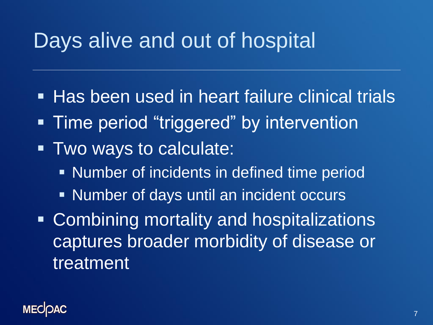## Days alive and out of hospital

- **Has been used in heart failure clinical trials**
- **Time period "triggered" by intervention**
- **Two ways to calculate:** 
	- **Number of incidents in defined time period**
	- Number of days until an incident occurs
- **EXCOMBINING MOTALLY AND HOSPITALIZATIONS** captures broader morbidity of disease or treatment

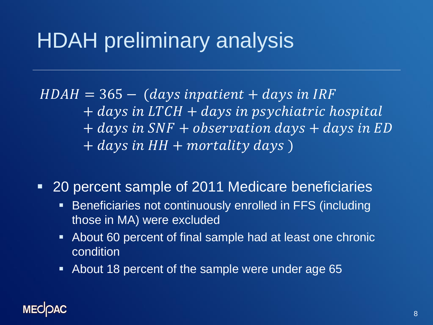## HDAH preliminary analysis

 $HDAH = 365 - (days in patient + days in IRF)$  $+$  days in LTCH  $+$  days in psychiatric hospital  $+$  days in SNF  $+$  observation days  $+$  days in ED  $+$  days in HH  $+$  mortality days)

■ 20 percent sample of 2011 Medicare beneficiaries

- **Beneficiaries not continuously enrolled in FFS (including** those in MA) were excluded
- About 60 percent of final sample had at least one chronic condition
- About 18 percent of the sample were under age 65

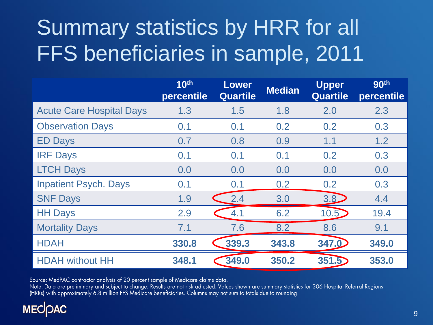# Summary statistics by HRR for all FFS beneficiaries in sample, 2011

|                                 | 10 <sup>th</sup><br>percentile | <b>Lower</b><br><b>Quartile</b> | <b>Median</b> | <b>Upper</b><br><b>Quartile</b> | <b>90th</b><br>percentile |
|---------------------------------|--------------------------------|---------------------------------|---------------|---------------------------------|---------------------------|
| <b>Acute Care Hospital Days</b> | 1.3                            | 1.5                             | 1.8           | 2.0                             | 2.3                       |
| <b>Observation Days</b>         | 0.1                            | 0.1                             | 0.2           | 0.2                             | 0.3                       |
| <b>ED Days</b>                  | 0.7                            | 0.8                             | 0.9           | 1.1                             | 1.2                       |
| <b>IRF Days</b>                 | 0.1                            | 0.1                             | 0.2<br>0.1    |                                 | 0.3                       |
| <b>LTCH Days</b>                | 0.0                            | 0.0                             | 0.0           | 0.0                             | 0.0                       |
| <b>Inpatient Psych. Days</b>    | 0.1                            | 0.1                             | 0.2           | 0.2                             | 0.3                       |
| <b>SNF Days</b>                 | 1.9                            | 2.4                             | 3.0           | 3.8                             | 4.4                       |
| <b>HH Days</b>                  | 2.9                            | 4.1                             | 6.2           | 10.5                            | 19.4                      |
| <b>Mortality Days</b>           | 7.1                            | 7.6                             | 8.2           | 8.6                             | 9.1                       |
| <b>HDAH</b>                     | 330.8                          | 339.3                           | 343.8         | 347.0                           | 349.0                     |
| <b>HDAH without HH</b>          | 348.1                          | 349.0                           | 350.2         | 351.5                           | 353.0                     |

Source: MedPAC contractor analysis of 20 percent sample of Medicare claims data.

Note: Data are preliminary and subject to change. Results are not risk adjusted. Values shown are summary statistics for 306 Hospital Referral Regions (HRRs) with approximately 6.8 million FFS Medicare beneficiaries. Columns may not sum to totals due to rounding.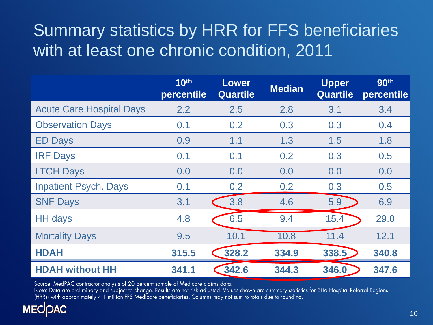#### Summary statistics by HRR for FFS beneficiaries with at least one chronic condition, 2011

|                                 | 10 <sup>th</sup><br>percentile | Lower<br><b>Quartile</b> | <b>Median</b> | <b>Upper</b><br><b>Quartile</b> | <b>90th</b><br>percentile |
|---------------------------------|--------------------------------|--------------------------|---------------|---------------------------------|---------------------------|
| <b>Acute Care Hospital Days</b> | $2.2\phantom{0}$               | 2.5                      | 2.8           | 3.1                             | 3.4                       |
| <b>Observation Days</b>         | 0.1                            | 0.2                      | 0.3           | 0.3                             | 0.4                       |
| <b>ED Days</b>                  | 0.9                            | 1.1                      | 1.3           | 1.5                             | 1.8                       |
| <b>IRF Days</b>                 | 0.1                            | 0.1                      | 0.2           | 0.3                             | 0.5                       |
| <b>LTCH Days</b>                | 0.0                            | 0.0                      | 0.0           | 0.0                             | 0.0                       |
| <b>Inpatient Psych. Days</b>    | 0.1                            | 0.2                      | 0.2           | 0.3                             | 0.5                       |
| <b>SNF Days</b>                 | 3.1                            | 3.8                      | 4.6           | 5.9                             | 6.9                       |
| <b>HH</b> days                  | 4.8                            | 6.5                      | 9.4           | 15.4                            | 29.0                      |
| <b>Mortality Days</b>           | 9.5                            | 10.1                     | 10.8          | 11.4                            | 12.1                      |
| <b>HDAH</b>                     | 315.5                          | 328.2                    | 334.9         | 338.5                           | 340.8                     |
| <b>HDAH without HH</b>          | 341.1                          | 342.6                    | 344.3         | 346.0                           | 347.6                     |

Source: MedPAC contractor analysis of 20 percent sample of Medicare claims data.

Note: Data are preliminary and subject to change. Results are not risk adjusted. Values shown are summary statistics for 306 Hospital Referral Regions (HRRs) with approximately 4.1 million FFS Medicare beneficiaries. Columns may not sum to totals due to rounding.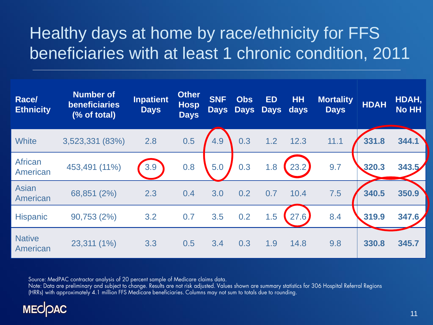#### Healthy days at home by race/ethnicity for FFS beneficiaries with at least 1 chronic condition, 2011

| Race/<br><b>Ethnicity</b>  | <b>Number of</b><br><b>beneficiaries</b><br>(% of total) | <b>Inpatient</b><br><b>Days</b> | <b>Other</b><br><b>Hosp</b><br><b>Days</b> | <b>SNF</b><br><b>Days</b> | <b>Obs</b><br><b>Days</b> | <b>ED</b><br><b>Days</b> | <b>HH</b><br>days | <b>Mortality</b><br><b>Days</b> | <b>HDAH</b> | HDAH,<br><b>No HH</b> |
|----------------------------|----------------------------------------------------------|---------------------------------|--------------------------------------------|---------------------------|---------------------------|--------------------------|-------------------|---------------------------------|-------------|-----------------------|
| <b>White</b>               | 3,523,331 (83%)                                          | 2.8                             | 0.5                                        | 4.9                       | 0.3                       | 1.2                      | 12.3              | 11.1                            | 331.8       | 344.1                 |
| <b>African</b><br>American | 453,491 (11%)                                            | 3.9                             | 0.8                                        | 5.0                       | 0.3                       | 1.8                      | 23.2              | 9.7                             | 320.3       | 343.5                 |
| <b>Asian</b><br>American   | 68,851 (2%)                                              | 2.3                             | 0.4                                        | 3.0                       | 0.2                       | 0.7                      | 10.4              | 7.5                             | 340.5       | 350.9                 |
| <b>Hispanic</b>            | 90,753 (2%)                                              | 3.2                             | 0.7                                        | 3.5                       | 0.2                       | 1.5                      | 27.6              | 8.4                             | 319.9       | 347.6                 |
| <b>Native</b><br>American  | 23,311 (1%)                                              | 3.3                             | 0.5                                        | 3.4                       | 0.3                       | 1.9                      | 14.8              | 9.8                             | 330.8       | 345.7                 |

Source: MedPAC contractor analysis of 20 percent sample of Medicare claims data.

Note: Data are preliminary and subject to change. Results are not risk adjusted. Values shown are summary statistics for 306 Hospital Referral Regions (HRRs) with approximately 4.1 million FFS Medicare beneficiaries. Columns may not sum to totals due to rounding.

#### **MECOAC**